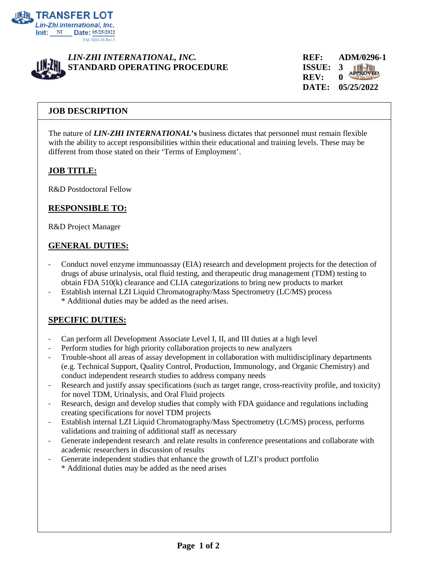



**REV: 0 DATE: 05/25/2022**

## **JOB DESCRIPTION**

The nature of *LIN-ZHI INTERNATIONAL***'s** business dictates that personnel must remain flexible with the ability to accept responsibilities within their educational and training levels. These may be different from those stated on their 'Terms of Employment'.

#### **JOB TITLE:**

R&D Postdoctoral Fellow

#### **RESPONSIBLE TO:**

R&D Project Manager

#### **GENERAL DUTIES:**

- Conduct novel enzyme immunoassay (EIA) research and development projects for the detection of drugs of abuse urinalysis, oral fluid testing, and therapeutic drug management (TDM) testing to obtain FDA 510(k) clearance and CLIA categorizations to bring new products to market
- Establish internal LZI Liquid Chromatography/Mass Spectrometry (LC/MS) process \* Additional duties may be added as the need arises.

# **SPECIFIC DUTIES:**

- Can perform all Development Associate Level I, II, and III duties at a high level
- Perform studies for high priority collaboration projects to new analyzers
- Trouble-shoot all areas of assay development in collaboration with multidisciplinary departments (e.g. Technical Support, Quality Control, Production, Immunology, and Organic Chemistry) and conduct independent research studies to address company needs
- Research and justify assay specifications (such as target range, cross-reactivity profile, and toxicity) for novel TDM, Urinalysis, and Oral Fluid projects
- Research, design and develop studies that comply with FDA guidance and regulations including creating specifications for novel TDM projects
- Establish internal LZI Liquid Chromatography/Mass Spectrometry (LC/MS) process, performs validations and training of additional staff as necessary
- Generate independent research and relate results in conference presentations and collaborate with academic researchers in discussion of results
- Generate independent studies that enhance the growth of LZI's product portfolio \* Additional duties may be added as the need arises